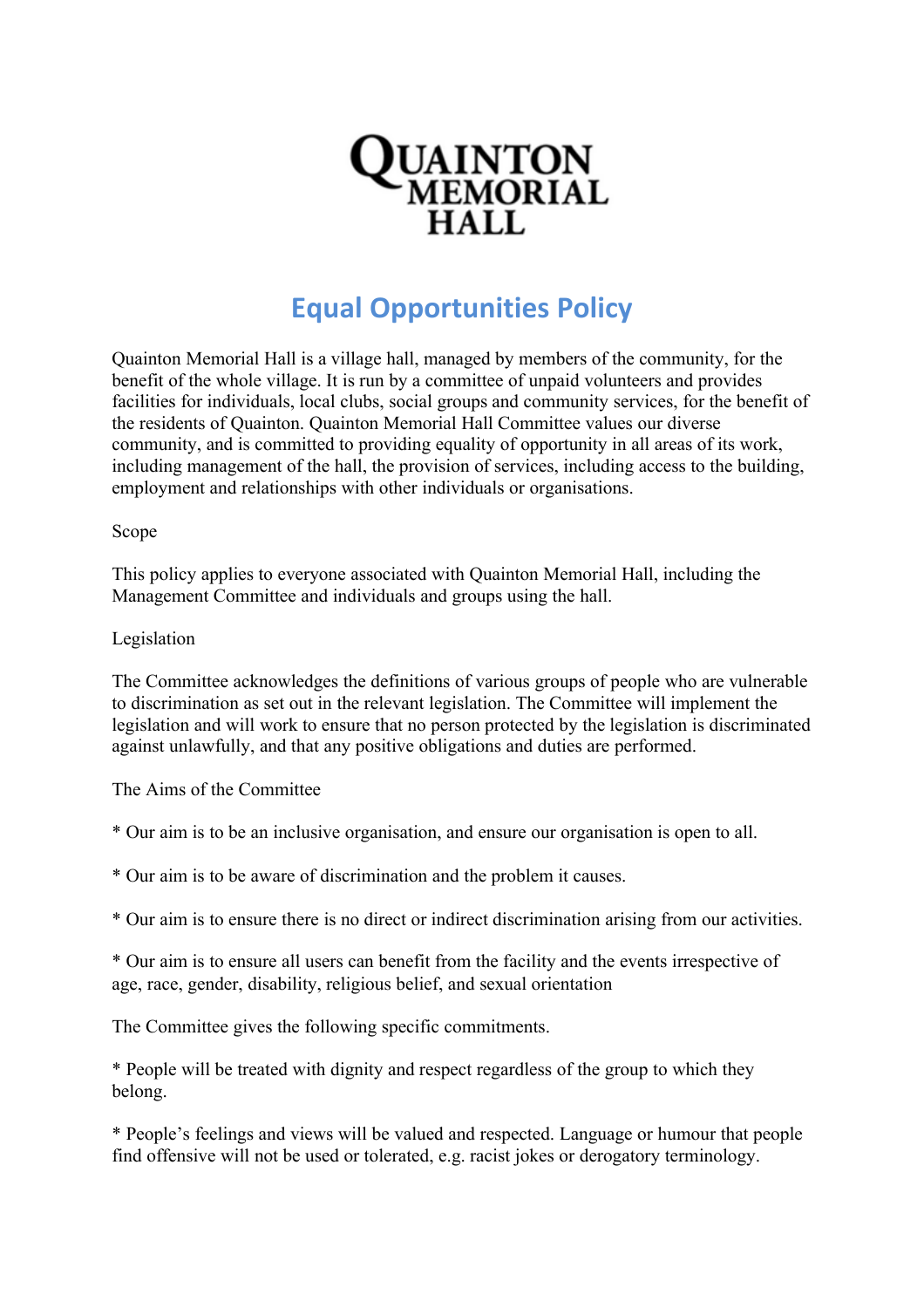

## **Equal Opportunities Policy**

Quainton Memorial Hall is a village hall, managed by members of the community, for the benefit of the whole village. It is run by a committee of unpaid volunteers and provides facilities for individuals, local clubs, social groups and community services, for the benefit of the residents of Quainton. Quainton Memorial Hall Committee values our diverse community, and is committed to providing equality of opportunity in all areas of its work, including management of the hall, the provision of services, including access to the building, employment and relationships with other individuals or organisations.

## Scope

This policy applies to everyone associated with Quainton Memorial Hall, including the Management Committee and individuals and groups using the hall.

## Legislation

The Committee acknowledges the definitions of various groups of people who are vulnerable to discrimination as set out in the relevant legislation. The Committee will implement the legislation and will work to ensure that no person protected by the legislation is discriminated against unlawfully, and that any positive obligations and duties are performed.

The Aims of the Committee

- \* Our aim is to be an inclusive organisation, and ensure our organisation is open to all.
- \* Our aim is to be aware of discrimination and the problem it causes.
- \* Our aim is to ensure there is no direct or indirect discrimination arising from our activities.

\* Our aim is to ensure all users can benefit from the facility and the events irrespective of age, race, gender, disability, religious belief, and sexual orientation

The Committee gives the following specific commitments.

\* People will be treated with dignity and respect regardless of the group to which they belong.

\* People's feelings and views will be valued and respected. Language or humour that people find offensive will not be used or tolerated, e.g. racist jokes or derogatory terminology.